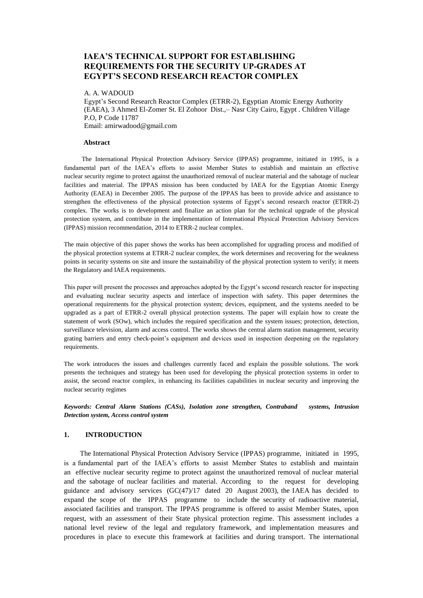# **IAEA'S TECHNICAL SUPPORT FOR ESTABLISHING REQUIREMENTS FOR THE SECURITY UP-GRADES AT EGYPT'S SECOND RESEARCH REACTOR COMPLEX**

#### A. A. WADOUD

Egypt's Second Research Reactor Complex (ETRR-2), Egyptian Atomic Energy Authority (EAEA), 3 Ahmed El-Zomer St. El Zohoor Dist.,– Nasr City Cairo, Egypt . Children Village P.O, P Code 11787 Email: amirwadood@gmail.com

#### **Abstract**

 The International Physical Protection Advisory Service (IPPAS) programme, initiated in 1995, is a fundamental part of the IAEA's efforts to assist Member States to establish and maintain an effective nuclear security regime to protect against the unauthorized removal of nuclear material and the sabotage of nuclear facilities and material. The IPPAS mission has been conducted by IAEA for the Egyptian Atomic Energy Authority (EAEA) in December 2005. The purpose of the IPPAS has been to provide advice and assistance to strengthen the effectiveness of the physical protection systems of Egypt's second research reactor (ETRR-2) complex. The works is to development and finalize an action plan for the technical upgrade of the physical protection system, and contribute in the implementation of International Physical Protection Advisory Services (IPPAS) mission recommendation, 2014 to ETRR-2 nuclear complex.

The main objective of this paper shows the works has been accomplished for upgrading process and modified of the physical protection systems at ETRR-2 nuclear complex, the work determines and recovering for the weakness points in security systems on site and insure the sustainability of the physical protection system to verify; it meets the Regulatory and IAEA requirements.

This paper will present the processes and approaches adopted by the Egypt's second research reactor for inspecting and evaluating nuclear security aspects and interface of inspection with safety. This paper determines the operational requirements for the physical protection system; devices, equipment, and the systems needed to be upgraded as a part of ETRR-2 overall physical protection systems. The paper will explain how to create the statement of work (SOw), which includes the required specification and the system issues; protection, detection, surveillance television, alarm and access control. The works shows the central alarm station management, security grating barriers and entry check-point's equipment and devices used in inspection deepening on the regulatory requirements.

The work introduces the issues and challenges currently faced and explain the possible solutions. The work presents the techniques and strategy has been used for developing the physical protection systems in order to assist, the second reactor complex, in enhancing its facilities capabilities in nuclear security and improving the nuclear security regimes

*Keywords: Central Alarm Stations (CASs), Isolation zone strengthen, Contraband systems, Intrusion Detection system, Access control system*

#### **1. INTRODUCTION**

 The International Physical Protection Advisory Service (IPPAS) programme, initiated in 1995, is a fundamental part of the IAEA's efforts to assist Member States to establish and maintain an effective nuclear security regime to protect against the unauthorized removal of nuclear material and the sabotage of nuclear facilities and material. According to the request for developing guidance and advisory services  $(GC(47)/17$  dated 20 August 2003), the IAEA has decided to expand the scope of the IPPAS programme to include the security of radioactive material, associated facilities and transport. The IPPAS programme is offered to assist Member States, upon request, with an assessment of their State physical protection regime. This assessment includes a national level review of the legal and regulatory framework, and implementation measures and procedures in place to execute this framework at facilities and during transport. The international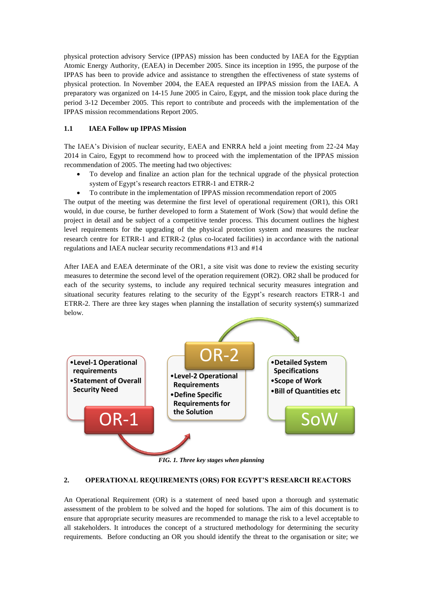physical protection advisory Service (IPPAS) mission has been conducted by IAEA for the Egyptian Atomic Energy Authority, (EAEA) in December 2005. Since its inception in 1995, the purpose of the IPPAS has been to provide advice and assistance to strengthen the effectiveness of state systems of physical protection. In November 2004, the EAEA requested an IPPAS mission from the IAEA. A preparatory was organized on 14-15 June 2005 in Cairo, Egypt, and the mission took place during the period 3-12 December 2005. This report to contribute and proceeds with the implementation of the IPPAS mission recommendations Report 2005.

## **1.1 IAEA Follow up IPPAS Mission**

The IAEA's Division of nuclear security, EAEA and ENRRA held a joint meeting from 22-24 May 2014 in Cairo, Egypt to recommend how to proceed with the implementation of the IPPAS mission recommendation of 2005. The meeting had two objectives:

- To develop and finalize an action plan for the technical upgrade of the physical protection system of Egypt's research reactors ETRR-1 and ETRR-2
- To contribute in the implementation of IPPAS mission recommendation report of 2005

The output of the meeting was determine the first level of operational requirement (OR1), this OR1 would, in due course, be further developed to form a Statement of Work (Sow) that would define the project in detail and be subject of a competitive tender process. This document outlines the highest level requirements for the upgrading of the physical protection system and measures the nuclear research centre for ETRR-1 and ETRR-2 (plus co-located facilities) in accordance with the national regulations and IAEA nuclear security recommendations #13 and #14

After IAEA and EAEA determinate of the OR1, a site visit was done to review the existing security measures to determine the second level of the operation requirement (OR2). OR2 shall be produced for each of the security systems, to include any required technical security measures integration and situational security features relating to the security of the Egypt's research reactors ETRR-1 and ETRR-2. There are three key stages when planning the installation of security system(s) summarized below.



*FIG. 1. Three key stages when planning*

### **2. OPERATIONAL REQUIREMENTS (ORS) FOR EGYPT'S RESEARCH REACTORS**

An Operational Requirement (OR) is a statement of need based upon a thorough and systematic assessment of the problem to be solved and the hoped for solutions. The aim of this document is to ensure that appropriate security measures are recommended to manage the risk to a level acceptable to all stakeholders. It introduces the concept of a structured methodology for determining the security requirements. Before conducting an OR you should identify the threat to the organisation or site; we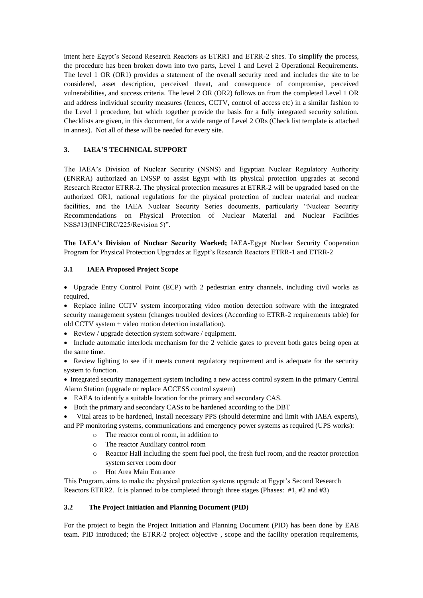intent here Egypt's Second Research Reactors as ETRR1 and ETRR-2 sites. To simplify the process, the procedure has been broken down into two parts, Level 1 and Level 2 Operational Requirements. The level 1 OR (OR1) provides a statement of the overall security need and includes the site to be considered, asset description, perceived threat, and consequence of compromise, perceived vulnerabilities, and success criteria. The level 2 OR (OR2) follows on from the completed Level 1 OR and address individual security measures (fences, CCTV, control of access etc) in a similar fashion to the Level 1 procedure, but which together provide the basis for a fully integrated security solution. Checklists are given, in this document, for a wide range of Level 2 ORs (Check list template is attached in annex). Not all of these will be needed for every site.

## **3. IAEA'S TECHNICAL SUPPORT**

The IAEA's Division of Nuclear Security (NSNS) and Egyptian Nuclear Regulatory Authority (ENRRA) authorized an INSSP to assist Egypt with its physical protection upgrades at second Research Reactor ETRR-2. The physical protection measures at ETRR-2 will be upgraded based on the authorized OR1, national regulations for the physical protection of nuclear material and nuclear facilities, and the IAEA Nuclear Security Series documents, particularly "Nuclear Security Recommendations on Physical Protection of Nuclear Material and Nuclear Facilities NSS#13(INFCIRC/225/Revision 5)".

**The IAEA's Division of Nuclear Security Worked;** IAEA-Egypt Nuclear Security Cooperation Program for Physical Protection Upgrades at Egypt's Research Reactors ETRR-1 and ETRR-2

### **3.1 IAEA Proposed Project Scope**

 Upgrade Entry Control Point (ECP) with 2 pedestrian entry channels, including civil works as required,

• Replace inline CCTV system incorporating video motion detection software with the integrated security management system (changes troubled devices (According to ETRR-2 requirements table) for old CCTV system + video motion detection installation).

• Review / upgrade detection system software / equipment.

 Include automatic interlock mechanism for the 2 vehicle gates to prevent both gates being open at the same time.

• Review lighting to see if it meets current regulatory requirement and is adequate for the security system to function.

 Integrated security management system including a new access control system in the primary Central Alarm Station (upgrade or replace ACCESS control system)

- EAEA to identify a suitable location for the primary and secondary CAS.
- Both the primary and secondary CASs to be hardened according to the DBT

 Vital areas to be hardened, install necessary PPS (should determine and limit with IAEA experts), and PP monitoring systems, communications and emergency power systems as required (UPS works):

- o The reactor control room, in addition to
- o The reactor Auxiliary control room
- o Reactor Hall including the spent fuel pool, the fresh fuel room, and the reactor protection system server room door
- o Hot Area Main Entrance

This Program, aims to make the physical protection systems upgrade at Egypt's Second Research Reactors ETRR2. It is planned to be completed through three stages (Phases: #1, #2 and #3)

### **3.2 The Project Initiation and Planning Document (PID)**

For the project to begin the Project Initiation and Planning Document (PID) has been done by EAE team. PID introduced; the ETRR-2 project objective , scope and the facility operation requirements,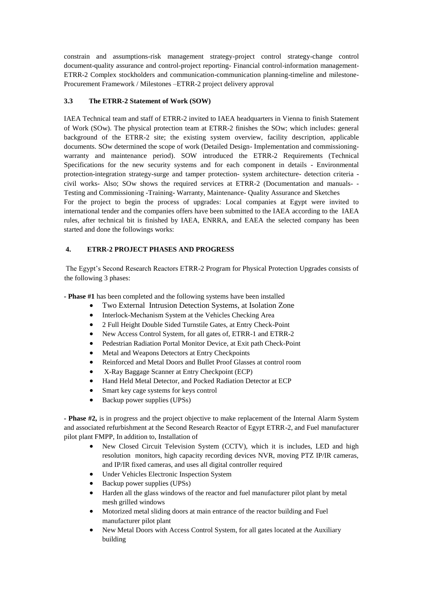constrain and assumptions-risk management strategy-project control strategy-change control document-quality assurance and control-project reporting- Financial control-information management-ETRR-2 Complex stockholders and communication-communication planning-timeline and milestone-Procurement Framework / Milestones –ETRR-2 project delivery approval

## **3.3 The ETRR-2 Statement of Work (SOW)**

IAEA Technical team and staff of ETRR-2 invited to IAEA headquarters in Vienna to finish Statement of Work (SOw). The physical protection team at ETRR-2 finishes the SOw; which includes: general background of the ETRR-2 site; the existing system overview, facility description, applicable documents. SOw determined the scope of work (Detailed Design- Implementation and commissioningwarranty and maintenance period). SOW introduced the ETRR-2 Requirements (Technical Specifications for the new security systems and for each component in details - Environmental protection-integration strategy-surge and tamper protection- system architecture- detection criteria civil works- Also; SOw shows the required services at ETRR-2 (Documentation and manuals- - Testing and Commissioning -Training- Warranty, Maintenance- Quality Assurance and Sketches For the project to begin the process of upgrades: Local companies at Egypt were invited to international tender and the companies offers have been submitted to the IAEA according to the IAEA rules, after technical bit is finished by IAEA, ENRRA, and EAEA the selected company has been started and done the followings works:

### **4. ETRR-2 PROJECT PHASES AND PROGRESS**

The Egypt's Second Research Reactors ETRR-2 Program for Physical Protection Upgrades consists of the following 3 phases:

**- Phase #1** has been completed and the following systems have been installed

- Two External Intrusion Detection Systems, at Isolation Zone
- Interlock-Mechanism System at the Vehicles Checking Area
- 2 Full Height Double Sided Turnstile Gates, at Entry Check-Point
- New Access Control System, for all gates of, ETRR-1 and ETRR-2
- Pedestrian Radiation Portal Monitor Device, at Exit path Check-Point
- Metal and Weapons Detectors at Entry Checkpoints
- Reinforced and Metal Doors and Bullet Proof Glasses at control room
- X-Ray Baggage Scanner at Entry Checkpoint (ECP)
- Hand Held Metal Detector, and Pocked Radiation Detector at ECP
- Smart key cage systems for keys control
- Backup power supplies (UPSs)

**- Phase #2,** is in progress and the project objective to make replacement of the Internal Alarm System and associated refurbishment at the Second Research Reactor of Egypt ETRR-2, and Fuel manufacturer pilot plant FMPP, In addition to, Installation of

- New Closed Circuit Television System (CCTV), which it is includes, LED and high resolution monitors, high capacity recording devices NVR, moving PTZ IP/IR cameras, and IP/IR fixed cameras, and uses all digital controller required
- Under Vehicles Electronic Inspection System
- Backup power supplies (UPSs)
- Harden all the glass windows of the reactor and fuel manufacturer pilot plant by metal mesh grilled windows
- Motorized metal sliding doors at main entrance of the reactor building and Fuel manufacturer pilot plant
- New Metal Doors with Access Control System, for all gates located at the Auxiliary building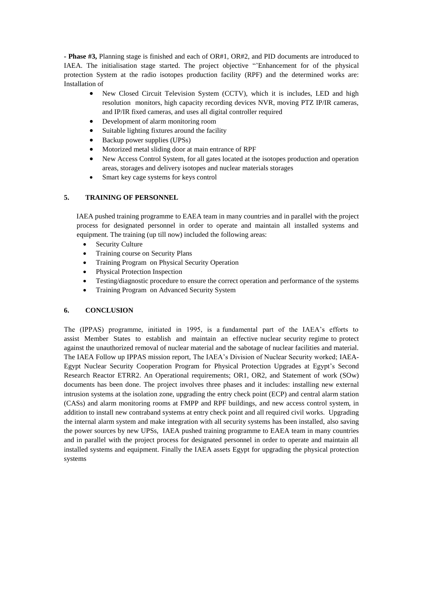**- Phase #3,** Planning stage is finished and each of OR#1, OR#2, and PID documents are introduced to IAEA. The initialisation stage started. The project objective "'Enhancement for of the physical protection System at the radio isotopes production facility (RPF) and the determined works are: Installation of

- New Closed Circuit Television System (CCTV), which it is includes, LED and high resolution monitors, high capacity recording devices NVR, moving PTZ IP/IR cameras, and IP/IR fixed cameras, and uses all digital controller required
- Development of alarm monitoring room
- Suitable lighting fixtures around the facility
- Backup power supplies (UPSs)
- Motorized metal sliding door at main entrance of RPF
- New Access Control System, for all gates located at the isotopes production and operation areas, storages and delivery isotopes and nuclear materials storages
- Smart key cage systems for keys control

## **5. TRAINING OF PERSONNEL**

 IAEA pushed training programme to EAEA team in many countries and in parallel with the project process for designated personnel in order to operate and maintain all installed systems and equipment. The training (up till now) included the following areas:

- Security Culture
- Training course on Security Plans
- Training Program on Physical Security Operation
- Physical Protection Inspection
- Testing/diagnostic procedure to ensure the correct operation and performance of the systems
- Training Program on Advanced Security System

## **6. CONCLUSION**

The (IPPAS) programme, initiated in 1995, is a fundamental part of the IAEA's efforts to assist Member States to establish and maintain an effective nuclear security regime to protect against the unauthorized removal of nuclear material and the sabotage of nuclear facilities and material. The IAEA Follow up IPPAS mission report, The IAEA's Division of Nuclear Security worked; IAEA-Egypt Nuclear Security Cooperation Program for Physical Protection Upgrades at Egypt's Second Research Reactor ETRR2. An Operational requirements; OR1, OR2, and Statement of work (SOw) documents has been done. The project involves three phases and it includes: installing new external intrusion systems at the isolation zone, upgrading the entry check point (ECP) and central alarm station (CASs) and alarm monitoring rooms at FMPP and RPF buildings, and new access control system, in addition to install new contraband systems at entry check point and all required civil works. Upgrading the internal alarm system and make integration with all security systems has been installed, also saving the power sources by new UPSs, IAEA pushed training programme to EAEA team in many countries and in parallel with the project process for designated personnel in order to operate and maintain all installed systems and equipment. Finally the IAEA assets Egypt for upgrading the physical protection systems